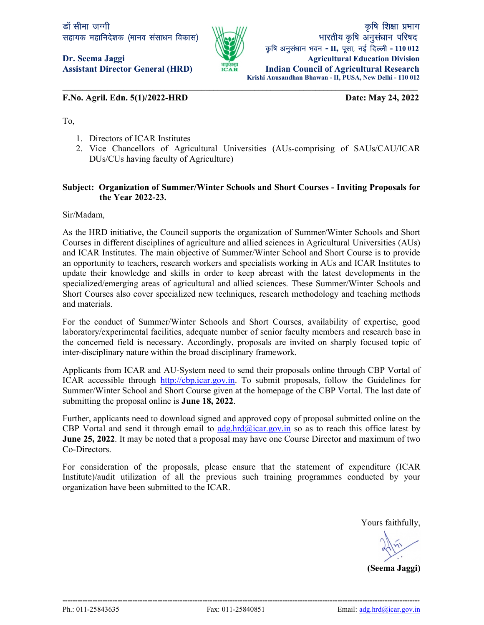

MkW lhek tXxh Ñf"k f'k{kk çHkkx lgk;d egkfuns'kd ¼ekuo l alkËku fodkl½ Hkkjrh; Ñf"k vu qlaËkku ifj"kn कृषि अनुसंधान भवन - II, पूसा, नई दिल्ली - 110 012 Dr. Seema Jaggi **Agricultural Education Division** Agricultural Education Division Assistant Director General (HRD) Indian Council of Agricultural Research Krishi Anusandhan Bhawan - II, PUSA, New Delhi - 110 012 \_\_\_\_\_\_\_\_\_\_\_\_\_\_\_\_\_\_\_\_\_\_\_\_\_\_\_\_\_\_\_\_\_\_\_\_\_\_\_\_\_\_\_\_\_\_\_\_\_\_\_\_\_\_\_\_\_\_\_\_\_\_\_\_\_\_\_\_\_\_\_\_\_\_\_\_\_\_\_\_\_\_\_\_\_\_\_

F.No. Agril. Edn. 5(1)/2022-HRD Date: May 24, 2022

To,

- 1. Directors of ICAR Institutes
- 2. Vice Chancellors of Agricultural Universities (AUs-comprising of SAUs/CAU/ICAR DUs/CUs having faculty of Agriculture)

#### Subject: Organization of Summer/Winter Schools and Short Courses - Inviting Proposals for the Year 2022-23.

Sir/Madam,

As the HRD initiative, the Council supports the organization of Summer/Winter Schools and Short Courses in different disciplines of agriculture and allied sciences in Agricultural Universities (AUs) and ICAR Institutes. The main objective of Summer/Winter School and Short Course is to provide an opportunity to teachers, research workers and specialists working in AUs and ICAR Institutes to update their knowledge and skills in order to keep abreast with the latest developments in the specialized/emerging areas of agricultural and allied sciences. These Summer/Winter Schools and Short Courses also cover specialized new techniques, research methodology and teaching methods and materials.

For the conduct of Summer/Winter Schools and Short Courses, availability of expertise, good laboratory/experimental facilities, adequate number of senior faculty members and research base in the concerned field is necessary. Accordingly, proposals are invited on sharply focused topic of inter-disciplinary nature within the broad disciplinary framework.

Applicants from ICAR and AU-System need to send their proposals online through CBP Vortal of ICAR accessible through http://cbp.icar.gov.in. To submit proposals, follow the Guidelines for Summer/Winter School and Short Course given at the homepage of the CBP Vortal. The last date of submitting the proposal online is June 18, 2022.

Further, applicants need to download signed and approved copy of proposal submitted online on the CBP Vortal and send it through email to  $\frac{adg}{dr}$ .  $\frac{hd}{dr}$  are gov. in so as to reach this office latest by June 25, 2022. It may be noted that a proposal may have one Course Director and maximum of two Co-Directors.

For consideration of the proposals, please ensure that the statement of expenditure (ICAR Institute)/audit utilization of all the previous such training programmes conducted by your organization have been submitted to the ICAR.

Yours faithfully,

(Seema Jaggi)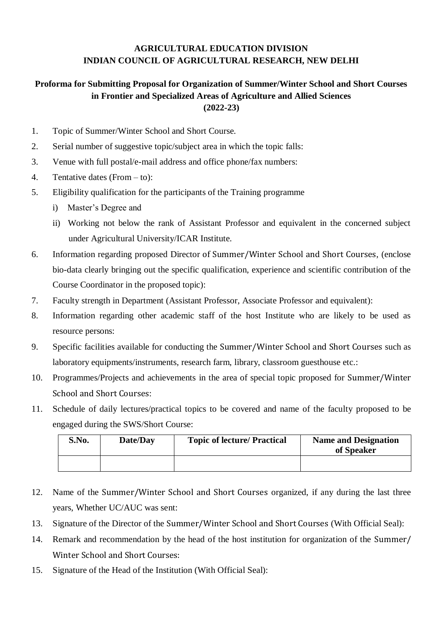### **AGRICULTURAL EDUCATION DIVISION INDIAN COUNCIL OF AGRICULTURAL RESEARCH, NEW DELHI**

## **Proforma for Submitting Proposal for Organization of Summer/Winter School and Short Courses in Frontier and Specialized Areas of Agriculture and Allied Sciences (2022-23)**

- 1. Topic of Summer/Winter School and Short Course.
- 2. Serial number of suggestive topic/subject area in which the topic falls:
- 3. Venue with full postal/e-mail address and office phone/fax numbers:
- 4. Tentative dates (From to):
- 5. Eligibility qualification for the participants of the Training programme
	- i) Master's Degree and
	- ii) Working not below the rank of Assistant Professor and equivalent in the concerned subject under Agricultural University/ICAR Institute.
- 6. Information regarding proposed Director of Summer/Winter School and Short Courses, (enclose bio-data clearly bringing out the specific qualification, experience and scientific contribution of the Course Coordinator in the proposed topic):
- 7. Faculty strength in Department (Assistant Professor, Associate Professor and equivalent):
- 8. Information regarding other academic staff of the host Institute who are likely to be used as resource persons:
- 9. Specific facilities available for conducting the Summer/Winter School and Short Courses such as laboratory equipments/instruments, research farm, library, classroom guesthouse etc.:
- 10. Programmes/Projects and achievements in the area of special topic proposed for Summer/Winter School and Short Courses:
- 11. Schedule of daily lectures/practical topics to be covered and name of the faculty proposed to be engaged during the SWS/Short Course:

| S.No. | Date/Day | <b>Topic of lecture/ Practical</b> | <b>Name and Designation</b><br>of Speaker |
|-------|----------|------------------------------------|-------------------------------------------|
|       |          |                                    |                                           |

- 12. Name of the Summer/Winter School and Short Courses organized, if any during the last three years, Whether UC/AUC was sent:
- 13. Signature of the Director of the Summer/Winter School and Short Courses (With Official Seal):
- 14. Remark and recommendation by the head of the host institution for organization of the Summer/ Winter School and Short Courses:
- 15. Signature of the Head of the Institution (With Official Seal):